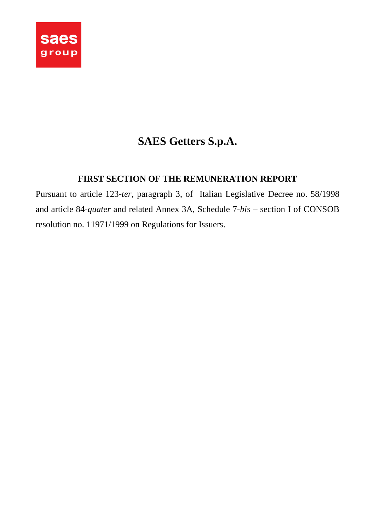

# **SAES Getters S.p.A.**

# **FIRST SECTION OF THE REMUNERATION REPORT**

Pursuant to article 123-*ter*, paragraph 3, of Italian Legislative Decree no. 58/1998 and article 84-*quater* and related Annex 3A, Schedule 7-*bis* – section I of CONSOB resolution no. 11971/1999 on Regulations for Issuers.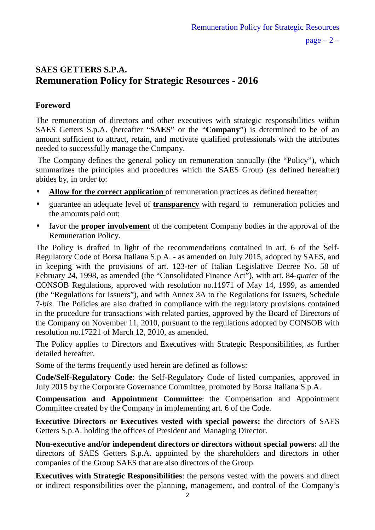$page - 2 -$ 

# **SAES GETTERS S.P.A. Remuneration Policy for Strategic Resources - 2016**

## **Foreword**

The remuneration of directors and other executives with strategic responsibilities within SAES Getters S.p.A. (hereafter "**SAES**" or the "**Company**") is determined to be of an amount sufficient to attract, retain, and motivate qualified professionals with the attributes needed to successfully manage the Company.

 The Company defines the general policy on remuneration annually (the "Policy"), which summarizes the principles and procedures which the SAES Group (as defined hereafter) abides by, in order to:

- **Allow for the correct application** of remuneration practices as defined hereafter;
- guarantee an adequate level of **transparency** with regard to remuneration policies and the amounts paid out;
- favor the **proper involvement** of the competent Company bodies in the approval of the Remuneration Policy.

The Policy is drafted in light of the recommendations contained in art. 6 of the Self-Regulatory Code of Borsa Italiana S.p.A. - as amended on July 2015, adopted by SAES, and in keeping with the provisions of art. 123-*ter* of Italian Legislative Decree No. 58 of February 24, 1998, as amended (the "Consolidated Finance Act"), with art. 84-*quater* of the CONSOB Regulations, approved with resolution no.11971 of May 14, 1999, as amended (the "Regulations for Issuers"), and with Annex 3A to the Regulations for Issuers, Schedule 7-*bis*. The Policies are also drafted in compliance with the regulatory provisions contained in the procedure for transactions with related parties, approved by the Board of Directors of the Company on November 11, 2010, pursuant to the regulations adopted by CONSOB with resolution no.17221 of March 12, 2010, as amended.

The Policy applies to Directors and Executives with Strategic Responsibilities, as further detailed hereafter.

Some of the terms frequently used herein are defined as follows:

**Code/Self-Regulatory Code**: the Self-Regulatory Code of listed companies, approved in July 2015 by the Corporate Governance Committee, promoted by Borsa Italiana S.p.A.

**Compensation and Appointment Committee:** the Compensation and Appointment Committee created by the Company in implementing art. 6 of the Code.

**Executive Directors or Executives vested with special powers:** the directors of SAES Getters S.p.A. holding the offices of President and Managing Director.

**Non-executive and/or independent directors or directors without special powers:** all the directors of SAES Getters S.p.A. appointed by the shareholders and directors in other companies of the Group SAES that are also directors of the Group.

**Executives with Strategic Responsibilities**: the persons vested with the powers and direct or indirect responsibilities over the planning, management, and control of the Company's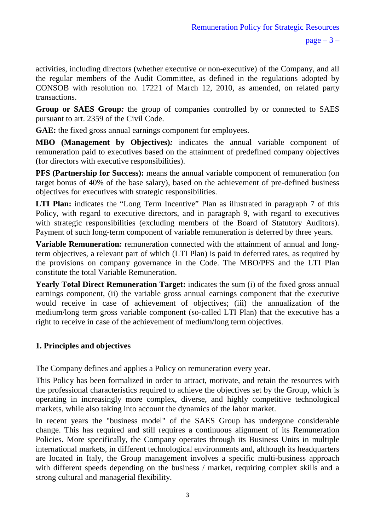activities, including directors (whether executive or non-executive) of the Company, and all the regular members of the Audit Committee, as defined in the regulations adopted by CONSOB with resolution no. 17221 of March 12, 2010, as amended, on related party transactions.

**Group or SAES Group***:* the group of companies controlled by or connected to SAES pursuant to art. 2359 of the Civil Code.

**GAE:** the fixed gross annual earnings component for employees.

**MBO (Management by Objectives)***:* indicates the annual variable component of remuneration paid to executives based on the attainment of predefined company objectives (for directors with executive responsibilities).

**PFS (Partnership for Success):** means the annual variable component of remuneration (on target bonus of 40% of the base salary), based on the achievement of pre-defined business objectives for executives with strategic responsibilities.

LTI Plan: indicates the "Long Term Incentive" Plan as illustrated in paragraph 7 of this Policy, with regard to executive directors, and in paragraph 9, with regard to executives with strategic responsibilities (excluding members of the Board of Statutory Auditors). Payment of such long-term component of variable remuneration is deferred by three years.

**Variable Remuneration***:* remuneration connected with the attainment of annual and longterm objectives, a relevant part of which (LTI Plan) is paid in deferred rates, as required by the provisions on company governance in the Code. The MBO/PFS and the LTI Plan constitute the total Variable Remuneration.

Yearly Total Direct Remuneration Target: indicates the sum (i) of the fixed gross annual earnings component, (ii) the variable gross annual earnings component that the executive would receive in case of achievement of objectives; (iii) the annualization of the medium/long term gross variable component (so-called LTI Plan) that the executive has a right to receive in case of the achievement of medium/long term objectives.

# **1. Principles and objectives**

The Company defines and applies a Policy on remuneration every year.

This Policy has been formalized in order to attract, motivate, and retain the resources with the professional characteristics required to achieve the objectives set by the Group, which is operating in increasingly more complex, diverse, and highly competitive technological markets, while also taking into account the dynamics of the labor market.

In recent years the "business model" of the SAES Group has undergone considerable change. This has required and still requires a continuous alignment of its Remuneration Policies. More specifically, the Company operates through its Business Units in multiple international markets, in different technological environments and, although its headquarters are located in Italy, the Group management involves a specific multi-business approach with different speeds depending on the business / market, requiring complex skills and a strong cultural and managerial flexibility.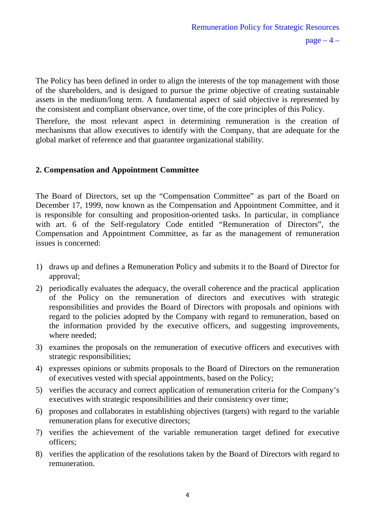The Policy has been defined in order to align the interests of the top management with those of the shareholders, and is designed to pursue the prime objective of creating sustainable assets in the medium/long term. A fundamental aspect of said objective is represented by the consistent and compliant observance, over time, of the core principles of this Policy.

Therefore, the most relevant aspect in determining remuneration is the creation of mechanisms that allow executives to identify with the Company, that are adequate for the global market of reference and that guarantee organizational stability.

### **2. Compensation and Appointment Committee**

The Board of Directors, set up the "Compensation Committee" as part of the Board on December 17, 1999, now known as the Compensation and Appointment Committee, and it is responsible for consulting and proposition-oriented tasks. In particular, in compliance with art. 6 of the Self-regulatory Code entitled "Remuneration of Directors", the Compensation and Appointment Committee, as far as the management of remuneration issues is concerned:

- 1) draws up and defines a Remuneration Policy and submits it to the Board of Director for approval;
- 2) periodically evaluates the adequacy, the overall coherence and the practical application of the Policy on the remuneration of directors and executives with strategic responsibilities and provides the Board of Directors with proposals and opinions with regard to the policies adopted by the Company with regard to remuneration, based on the information provided by the executive officers, and suggesting improvements, where needed;
- 3) examines the proposals on the remuneration of executive officers and executives with strategic responsibilities;
- 4) expresses opinions or submits proposals to the Board of Directors on the remuneration of executives vested with special appointments, based on the Policy;
- 5) verifies the accuracy and correct application of remuneration criteria for the Company's executives with strategic responsibilities and their consistency over time;
- 6) proposes and collaborates in establishing objectives (targets) with regard to the variable remuneration plans for executive directors;
- 7) verifies the achievement of the variable remuneration target defined for executive officers;
- 8) verifies the application of the resolutions taken by the Board of Directors with regard to remuneration.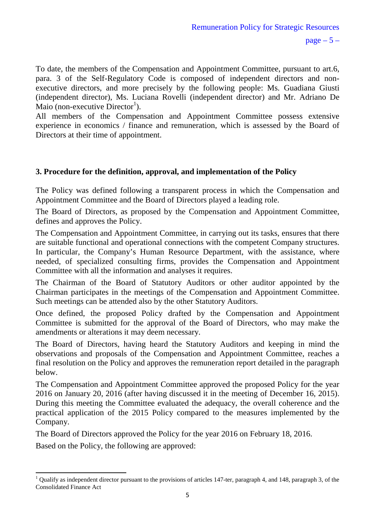To date, the members of the Compensation and Appointment Committee, pursuant to art.6, para. 3 of the Self-Regulatory Code is composed of independent directors and nonexecutive directors, and more precisely by the following people: Ms. Guadiana Giusti (independent director), Ms. Luciana Rovelli (independent director) and Mr. Adriano De Maio (non-executive Director<sup>1</sup>).

All members of the Compensation and Appointment Committee possess extensive experience in economics / finance and remuneration, which is assessed by the Board of Directors at their time of appointment.

# **3. Procedure for the definition, approval, and implementation of the Policy**

The Policy was defined following a transparent process in which the Compensation and Appointment Committee and the Board of Directors played a leading role.

The Board of Directors, as proposed by the Compensation and Appointment Committee, defines and approves the Policy.

The Compensation and Appointment Committee, in carrying out its tasks, ensures that there are suitable functional and operational connections with the competent Company structures. In particular, the Company's Human Resource Department, with the assistance, where needed, of specialized consulting firms, provides the Compensation and Appointment Committee with all the information and analyses it requires.

The Chairman of the Board of Statutory Auditors or other auditor appointed by the Chairman participates in the meetings of the Compensation and Appointment Committee. Such meetings can be attended also by the other Statutory Auditors.

Once defined, the proposed Policy drafted by the Compensation and Appointment Committee is submitted for the approval of the Board of Directors, who may make the amendments or alterations it may deem necessary.

The Board of Directors, having heard the Statutory Auditors and keeping in mind the observations and proposals of the Compensation and Appointment Committee, reaches a final resolution on the Policy and approves the remuneration report detailed in the paragraph below.

The Compensation and Appointment Committee approved the proposed Policy for the year 2016 on January 20, 2016 (after having discussed it in the meeting of December 16, 2015). During this meeting the Committee evaluated the adequacy, the overall coherence and the practical application of the 2015 Policy compared to the measures implemented by the Company.

The Board of Directors approved the Policy for the year 2016 on February 18, 2016.

Based on the Policy, the following are approved:

 $\overline{a}$ 

<sup>1</sup> Qualify as independent director pursuant to the provisions of articles 147-ter, paragraph 4, and 148, paragraph 3, of the Consolidated Finance Act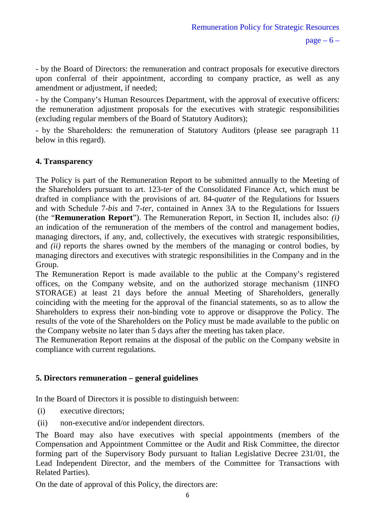- by the Board of Directors: the remuneration and contract proposals for executive directors upon conferral of their appointment, according to company practice, as well as any amendment or adjustment, if needed;

- by the Company's Human Resources Department, with the approval of executive officers: the remuneration adjustment proposals for the executives with strategic responsibilities (excluding regular members of the Board of Statutory Auditors);

- by the Shareholders: the remuneration of Statutory Auditors (please see paragraph 11 below in this regard).

### **4. Transparency**

The Policy is part of the Remuneration Report to be submitted annually to the Meeting of the Shareholders pursuant to art. 123-*ter* of the Consolidated Finance Act, which must be drafted in compliance with the provisions of art. 84-*quater* of the Regulations for Issuers and with Schedule 7-*bis* and 7-*ter*, contained in Annex 3A to the Regulations for Issuers (the "**Remuneration Report**"). The Remuneration Report, in Section II, includes also: *(i)* an indication of the remuneration of the members of the control and management bodies, managing directors, if any, and, collectively, the executives with strategic responsibilities, and *(ii)* reports the shares owned by the members of the managing or control bodies, by managing directors and executives with strategic responsibilities in the Company and in the Group.

The Remuneration Report is made available to the public at the Company's registered offices, on the Company website, and on the authorized storage mechanism (1INFO STORAGE) at least 21 days before the annual Meeting of Shareholders, generally coinciding with the meeting for the approval of the financial statements, so as to allow the Shareholders to express their non-binding vote to approve or disapprove the Policy. The results of the vote of the Shareholders on the Policy must be made available to the public on the Company website no later than 5 days after the meeting has taken place.

The Remuneration Report remains at the disposal of the public on the Company website in compliance with current regulations.

### **5. Directors remuneration – general guidelines**

In the Board of Directors it is possible to distinguish between:

- (i) executive directors;
- (ii) non-executive and/or independent directors.

The Board may also have executives with special appointments (members of the Compensation and Appointment Committee or the Audit and Risk Committee, the director forming part of the Supervisory Body pursuant to Italian Legislative Decree 231/01, the Lead Independent Director, and the members of the Committee for Transactions with Related Parties).

On the date of approval of this Policy, the directors are: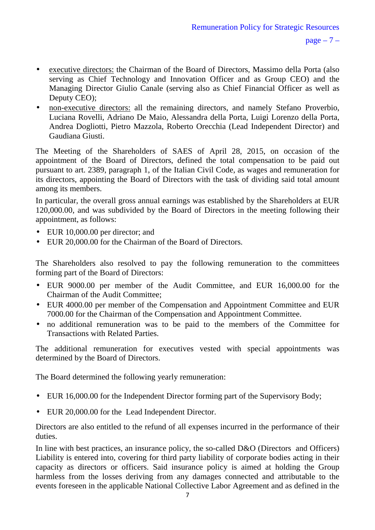- executive directors: the Chairman of the Board of Directors, Massimo della Porta (also serving as Chief Technology and Innovation Officer and as Group CEO) and the Managing Director Giulio Canale (serving also as Chief Financial Officer as well as Deputy CEO);
- non-executive directors: all the remaining directors, and namely Stefano Proverbio, Luciana Rovelli, Adriano De Maio, Alessandra della Porta, Luigi Lorenzo della Porta, Andrea Dogliotti, Pietro Mazzola, Roberto Orecchia (Lead Independent Director) and Gaudiana Giusti.

The Meeting of the Shareholders of SAES of April 28, 2015, on occasion of the appointment of the Board of Directors, defined the total compensation to be paid out pursuant to art. 2389, paragraph 1, of the Italian Civil Code, as wages and remuneration for its directors, appointing the Board of Directors with the task of dividing said total amount among its members.

In particular, the overall gross annual earnings was established by the Shareholders at EUR 120,000.00, and was subdivided by the Board of Directors in the meeting following their appointment, as follows:

- EUR 10,000.00 per director; and
- EUR 20,000.00 for the Chairman of the Board of Directors.

The Shareholders also resolved to pay the following remuneration to the committees forming part of the Board of Directors:

- EUR 9000.00 per member of the Audit Committee, and EUR 16,000.00 for the Chairman of the Audit Committee;
- EUR 4000.00 per member of the Compensation and Appointment Committee and EUR 7000.00 for the Chairman of the Compensation and Appointment Committee.
- no additional remuneration was to be paid to the members of the Committee for Transactions with Related Parties.

The additional remuneration for executives vested with special appointments was determined by the Board of Directors.

The Board determined the following yearly remuneration:

- EUR 16,000.00 for the Independent Director forming part of the Supervisory Body;
- EUR 20,000.00 for the Lead Independent Director.

Directors are also entitled to the refund of all expenses incurred in the performance of their duties.

In line with best practices, an insurance policy, the so-called D&O (Directors and Officers) Liability is entered into, covering for third party liability of corporate bodies acting in their capacity as directors or officers. Said insurance policy is aimed at holding the Group harmless from the losses deriving from any damages connected and attributable to the events foreseen in the applicable National Collective Labor Agreement and as defined in the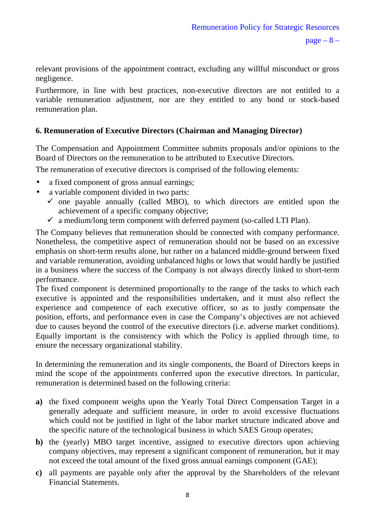relevant provisions of the appointment contract, excluding any willful misconduct or gross negligence.

Furthermore, in line with best practices, non-executive directors are not entitled to a variable remuneration adjustment, nor are they entitled to any bond or stock-based remuneration plan.

# **6. Remuneration of Executive Directors (Chairman and Managing Director)**

The Compensation and Appointment Committee submits proposals and/or opinions to the Board of Directors on the remuneration to be attributed to Executive Directors.

The remuneration of executive directors is comprised of the following elements:

- a fixed component of gross annual earnings;
- a variable component divided in two parts:
	- $\checkmark$  one payable annually (called MBO), to which directors are entitled upon the achievement of a specific company objective;
	- $\checkmark$  a medium/long term component with deferred payment (so-called LTI Plan).

The Company believes that remuneration should be connected with company performance. Nonetheless, the competitive aspect of remuneration should not be based on an excessive emphasis on short-term results alone, but rather on a balanced middle-ground between fixed and variable remuneration, avoiding unbalanced highs or lows that would hardly be justified in a business where the success of the Company is not always directly linked to short-term performance.

The fixed component is determined proportionally to the range of the tasks to which each executive is appointed and the responsibilities undertaken, and it must also reflect the experience and competence of each executive officer, so as to justly compensate the position, efforts, and performance even in case the Company's objectives are not achieved due to causes beyond the control of the executive directors (i.e. adverse market conditions). Equally important is the consistency with which the Policy is applied through time, to ensure the necessary organizational stability.

In determining the remuneration and its single components, the Board of Directors keeps in mind the scope of the appointments conferred upon the executive directors. In particular, remuneration is determined based on the following criteria:

- **a)** the fixed component weighs upon the Yearly Total Direct Compensation Target in a generally adequate and sufficient measure, in order to avoid excessive fluctuations which could not be justified in light of the labor market structure indicated above and the specific nature of the technological business in which SAES Group operates;
- **b)** the (yearly) MBO target incentive, assigned to executive directors upon achieving company objectives, may represent a significant component of remuneration, but it may not exceed the total amount of the fixed gross annual earnings component (GAE);
- **c)** all payments are payable only after the approval by the Shareholders of the relevant Financial Statements.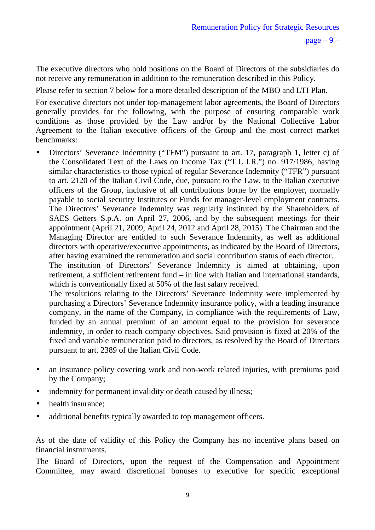The executive directors who hold positions on the Board of Directors of the subsidiaries do not receive any remuneration in addition to the remuneration described in this Policy.

Please refer to section 7 below for a more detailed description of the MBO and LTI Plan.

For executive directors not under top-management labor agreements, the Board of Directors generally provides for the following, with the purpose of ensuring comparable work conditions as those provided by the Law and/or by the National Collective Labor Agreement to the Italian executive officers of the Group and the most correct market benchmarks:

• Directors' Severance Indemnity ("TFM") pursuant to art. 17, paragraph 1, letter c) of the Consolidated Text of the Laws on Income Tax ("T.U.I.R.") no. 917/1986, having similar characteristics to those typical of regular Severance Indemnity ("TFR") pursuant to art. 2120 of the Italian Civil Code, due, pursuant to the Law, to the Italian executive officers of the Group, inclusive of all contributions borne by the employer, normally payable to social security Institutes or Funds for manager-level employment contracts. The Directors' Severance Indemnity was regularly instituted by the Shareholders of SAES Getters S.p.A. on April 27, 2006, and by the subsequent meetings for their appointment (April 21, 2009, April 24, 2012 and April 28, 2015). The Chairman and the Managing Director are entitled to such Severance Indemnity, as well as additional directors with operative/executive appointments, as indicated by the Board of Directors, after having examined the remuneration and social contribution status of each director.

The institution of Directors' Severance Indemnity is aimed at obtaining, upon retirement, a sufficient retirement fund – in line with Italian and international standards, which is conventionally fixed at 50% of the last salary received.

The resolutions relating to the Directors' Severance Indemnity were implemented by purchasing a Directors' Severance Indemnity insurance policy, with a leading insurance company, in the name of the Company, in compliance with the requirements of Law, funded by an annual premium of an amount equal to the provision for severance indemnity, in order to reach company objectives. Said provision is fixed at 20% of the fixed and variable remuneration paid to directors, as resolved by the Board of Directors pursuant to art. 2389 of the Italian Civil Code.

- an insurance policy covering work and non-work related injuries, with premiums paid by the Company;
- indemnity for permanent invalidity or death caused by illness;
- health insurance:
- additional benefits typically awarded to top management officers.

As of the date of validity of this Policy the Company has no incentive plans based on financial instruments.

The Board of Directors, upon the request of the Compensation and Appointment Committee, may award discretional bonuses to executive for specific exceptional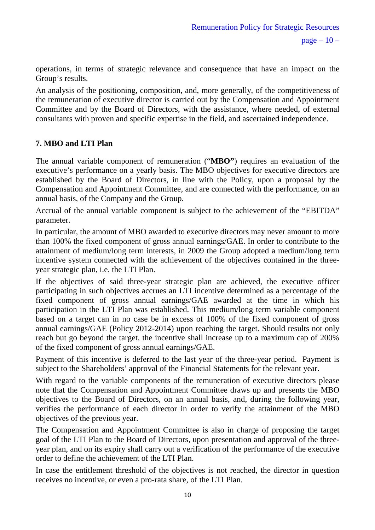operations, in terms of strategic relevance and consequence that have an impact on the Group's results.

An analysis of the positioning, composition, and, more generally, of the competitiveness of the remuneration of executive director is carried out by the Compensation and Appointment Committee and by the Board of Directors, with the assistance, where needed, of external consultants with proven and specific expertise in the field, and ascertained independence.

## **7. MBO and LTI Plan**

The annual variable component of remuneration ("**MBO"**) requires an evaluation of the executive's performance on a yearly basis. The MBO objectives for executive directors are established by the Board of Directors, in line with the Policy, upon a proposal by the Compensation and Appointment Committee, and are connected with the performance, on an annual basis, of the Company and the Group.

Accrual of the annual variable component is subject to the achievement of the "EBITDA" parameter.

In particular, the amount of MBO awarded to executive directors may never amount to more than 100% the fixed component of gross annual earnings/GAE. In order to contribute to the attainment of medium/long term interests, in 2009 the Group adopted a medium/long term incentive system connected with the achievement of the objectives contained in the threeyear strategic plan, i.e. the LTI Plan.

If the objectives of said three-year strategic plan are achieved, the executive officer participating in such objectives accrues an LTI incentive determined as a percentage of the fixed component of gross annual earnings/GAE awarded at the time in which his participation in the LTI Plan was established. This medium/long term variable component based on a target can in no case be in excess of 100% of the fixed component of gross annual earnings/GAE (Policy 2012-2014) upon reaching the target. Should results not only reach but go beyond the target, the incentive shall increase up to a maximum cap of 200% of the fixed component of gross annual earnings/GAE.

Payment of this incentive is deferred to the last year of the three-year period. Payment is subject to the Shareholders' approval of the Financial Statements for the relevant year.

With regard to the variable components of the remuneration of executive directors please note that the Compensation and Appointment Committee draws up and presents the MBO objectives to the Board of Directors, on an annual basis, and, during the following year, verifies the performance of each director in order to verify the attainment of the MBO objectives of the previous year.

The Compensation and Appointment Committee is also in charge of proposing the target goal of the LTI Plan to the Board of Directors, upon presentation and approval of the threeyear plan, and on its expiry shall carry out a verification of the performance of the executive order to define the achievement of the LTI Plan.

In case the entitlement threshold of the objectives is not reached, the director in question receives no incentive, or even a pro-rata share, of the LTI Plan.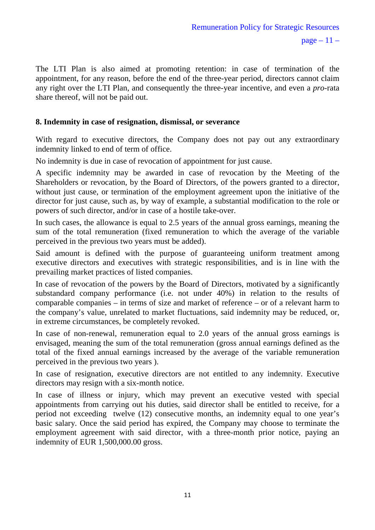The LTI Plan is also aimed at promoting retention: in case of termination of the appointment, for any reason, before the end of the three-year period, directors cannot claim any right over the LTI Plan, and consequently the three-year incentive, and even a *pro*-rata share thereof, will not be paid out.

#### **8. Indemnity in case of resignation, dismissal, or severance**

With regard to executive directors, the Company does not pay out any extraordinary indemnity linked to end of term of office.

No indemnity is due in case of revocation of appointment for just cause.

A specific indemnity may be awarded in case of revocation by the Meeting of the Shareholders or revocation, by the Board of Directors, of the powers granted to a director, without just cause, or termination of the employment agreement upon the initiative of the director for just cause, such as, by way of example, a substantial modification to the role or powers of such director, and/or in case of a hostile take-over.

In such cases, the allowance is equal to 2.5 years of the annual gross earnings, meaning the sum of the total remuneration (fixed remuneration to which the average of the variable perceived in the previous two years must be added).

Said amount is defined with the purpose of guaranteeing uniform treatment among executive directors and executives with strategic responsibilities, and is in line with the prevailing market practices of listed companies.

In case of revocation of the powers by the Board of Directors, motivated by a significantly substandard company performance (i.e. not under 40%) in relation to the results of comparable companies – in terms of size and market of reference – or of a relevant harm to the company's value, unrelated to market fluctuations, said indemnity may be reduced, or, in extreme circumstances, be completely revoked.

In case of non-renewal, remuneration equal to 2.0 years of the annual gross earnings is envisaged, meaning the sum of the total remuneration (gross annual earnings defined as the total of the fixed annual earnings increased by the average of the variable remuneration perceived in the previous two years ).

In case of resignation, executive directors are not entitled to any indemnity. Executive directors may resign with a six-month notice.

In case of illness or injury, which may prevent an executive vested with special appointments from carrying out his duties, said director shall be entitled to receive, for a period not exceeding twelve (12) consecutive months, an indemnity equal to one year's basic salary. Once the said period has expired, the Company may choose to terminate the employment agreement with said director, with a three-month prior notice, paying an indemnity of EUR 1,500,000.00 gross.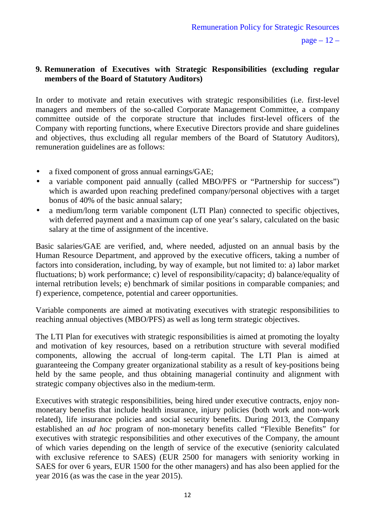### **9. Remuneration of Executives with Strategic Responsibilities (excluding regular members of the Board of Statutory Auditors)**

In order to motivate and retain executives with strategic responsibilities (i.e. first-level managers and members of the so-called Corporate Management Committee, a company committee outside of the corporate structure that includes first-level officers of the Company with reporting functions, where Executive Directors provide and share guidelines and objectives, thus excluding all regular members of the Board of Statutory Auditors), remuneration guidelines are as follows:

- a fixed component of gross annual earnings/GAE;
- a variable component paid annually (called MBO/PFS or "Partnership for success") which is awarded upon reaching predefined company/personal objectives with a target bonus of 40% of the basic annual salary;
- a medium/long term variable component (LTI Plan) connected to specific objectives, with deferred payment and a maximum cap of one year's salary, calculated on the basic salary at the time of assignment of the incentive.

Basic salaries/GAE are verified, and, where needed, adjusted on an annual basis by the Human Resource Department, and approved by the executive officers, taking a number of factors into consideration, including, by way of example, but not limited to: a) labor market fluctuations; b) work performance; c) level of responsibility/capacity; d) balance/equality of internal retribution levels; e) benchmark of similar positions in comparable companies; and f) experience, competence, potential and career opportunities.

Variable components are aimed at motivating executives with strategic responsibilities to reaching annual objectives (MBO/PFS) as well as long term strategic objectives.

The LTI Plan for executives with strategic responsibilities is aimed at promoting the loyalty and motivation of key resources, based on a retribution structure with several modified components, allowing the accrual of long-term capital. The LTI Plan is aimed at guaranteeing the Company greater organizational stability as a result of key-positions being held by the same people, and thus obtaining managerial continuity and alignment with strategic company objectives also in the medium-term.

Executives with strategic responsibilities, being hired under executive contracts, enjoy nonmonetary benefits that include health insurance, injury policies (both work and non-work related), life insurance policies and social security benefits. During 2013, the Company established an *ad hoc* program of non-monetary benefits called "Flexible Benefits" for executives with strategic responsibilities and other executives of the Company, the amount of which varies depending on the length of service of the executive (seniority calculated with exclusive reference to SAES) (EUR 2500 for managers with seniority working in SAES for over 6 years, EUR 1500 for the other managers) and has also been applied for the year 2016 (as was the case in the year 2015).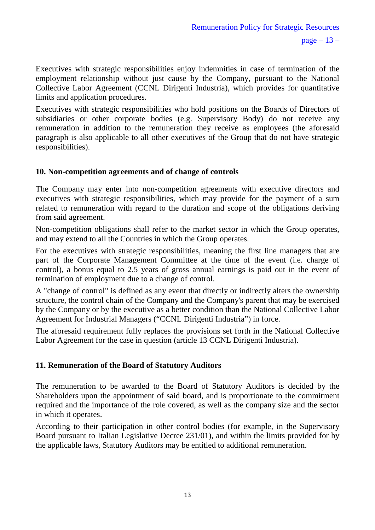Executives with strategic responsibilities enjoy indemnities in case of termination of the employment relationship without just cause by the Company, pursuant to the National Collective Labor Agreement (CCNL Dirigenti Industria), which provides for quantitative limits and application procedures.

Executives with strategic responsibilities who hold positions on the Boards of Directors of subsidiaries or other corporate bodies (e.g. Supervisory Body) do not receive any remuneration in addition to the remuneration they receive as employees (the aforesaid paragraph is also applicable to all other executives of the Group that do not have strategic responsibilities).

#### **10. Non-competition agreements and of change of controls**

The Company may enter into non-competition agreements with executive directors and executives with strategic responsibilities, which may provide for the payment of a sum related to remuneration with regard to the duration and scope of the obligations deriving from said agreement.

Non-competition obligations shall refer to the market sector in which the Group operates, and may extend to all the Countries in which the Group operates.

For the executives with strategic responsibilities, meaning the first line managers that are part of the Corporate Management Committee at the time of the event (i.e. charge of control), a bonus equal to 2.5 years of gross annual earnings is paid out in the event of termination of employment due to a change of control.

A "change of control" is defined as any event that directly or indirectly alters the ownership structure, the control chain of the Company and the Company's parent that may be exercised by the Company or by the executive as a better condition than the National Collective Labor Agreement for Industrial Managers ("CCNL Dirigenti Industria") in force.

The aforesaid requirement fully replaces the provisions set forth in the National Collective Labor Agreement for the case in question (article 13 CCNL Dirigenti Industria).

### **11. Remuneration of the Board of Statutory Auditors**

The remuneration to be awarded to the Board of Statutory Auditors is decided by the Shareholders upon the appointment of said board, and is proportionate to the commitment required and the importance of the role covered, as well as the company size and the sector in which it operates.

According to their participation in other control bodies (for example, in the Supervisory Board pursuant to Italian Legislative Decree 231/01), and within the limits provided for by the applicable laws, Statutory Auditors may be entitled to additional remuneration.